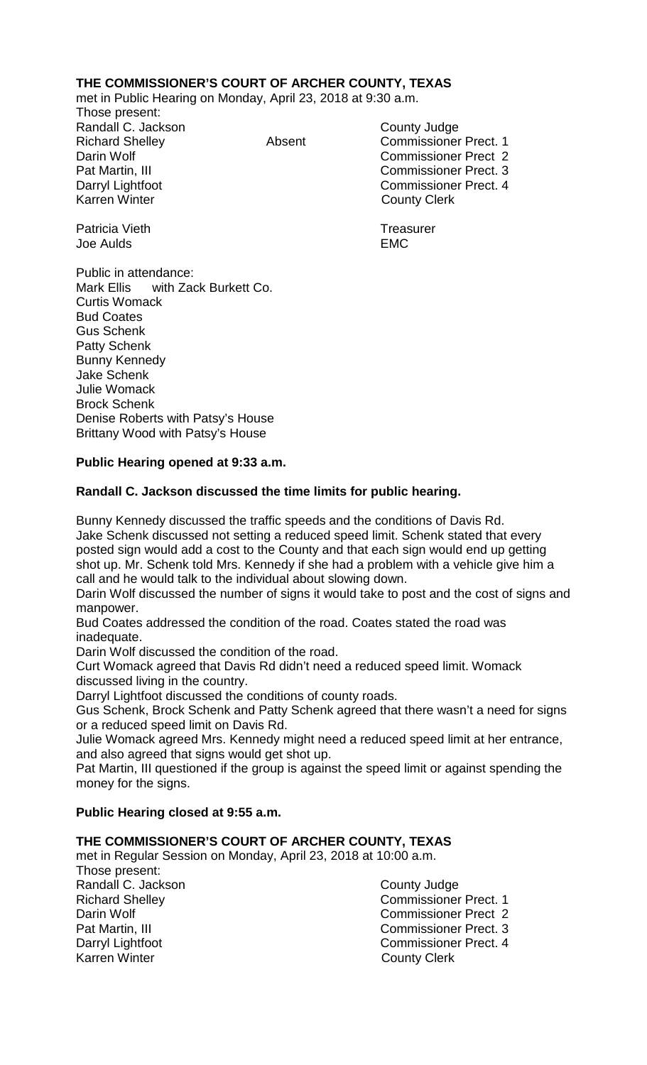# **THE COMMISSIONER'S COURT OF ARCHER COUNTY, TEXAS**

met in Public Hearing on Monday, April 23, 2018 at 9:30 a.m.

Those present: Randall C. Jackson County Judge

Richard Shelley **Absent** Commissioner Prect. 1 Darin Wolf Commissioner Prect 2 Pat Martin, III Commissioner Prect. 3 Darryl Lightfoot **Commissioner Prect. 4**<br>
Karren Winter **County County Clerk County Clerk** 

Patricia Vieth **Treasurer** Treasurer Joe Aulds EMC

Public in attendance: Mark Ellis with Zack Burkett Co. Curtis Womack Bud Coates Gus Schenk Patty Schenk Bunny Kennedy Jake Schenk Julie Womack Brock Schenk Denise Roberts with Patsy's House Brittany Wood with Patsy's House

# **Public Hearing opened at 9:33 a.m.**

# **Randall C. Jackson discussed the time limits for public hearing.**

Bunny Kennedy discussed the traffic speeds and the conditions of Davis Rd. Jake Schenk discussed not setting a reduced speed limit. Schenk stated that every posted sign would add a cost to the County and that each sign would end up getting shot up. Mr. Schenk told Mrs. Kennedy if she had a problem with a vehicle give him a call and he would talk to the individual about slowing down.

Darin Wolf discussed the number of signs it would take to post and the cost of signs and manpower.

Bud Coates addressed the condition of the road. Coates stated the road was inadequate.

Darin Wolf discussed the condition of the road.

Curt Womack agreed that Davis Rd didn't need a reduced speed limit. Womack discussed living in the country.

Darryl Lightfoot discussed the conditions of county roads.

Gus Schenk, Brock Schenk and Patty Schenk agreed that there wasn't a need for signs or a reduced speed limit on Davis Rd.

Julie Womack agreed Mrs. Kennedy might need a reduced speed limit at her entrance, and also agreed that signs would get shot up.

Pat Martin, III questioned if the group is against the speed limit or against spending the money for the signs.

# **Public Hearing closed at 9:55 a.m.**

# **THE COMMISSIONER'S COURT OF ARCHER COUNTY, TEXAS**

met in Regular Session on Monday, April 23, 2018 at 10:00 a.m.

Those present: Randall C. Jackson County Judge<br>
Richard Shellev Commissioner Karren Winter **County Clerk** 

Richard Shelley **Commissioner Prect. 1**<br>
Darin Wolf **Commissioner Prect.** 2 Darin Wolf Commissioner Prect 2 Commissioner Prect. 3 Darryl Lightfoot Commissioner Prect. 4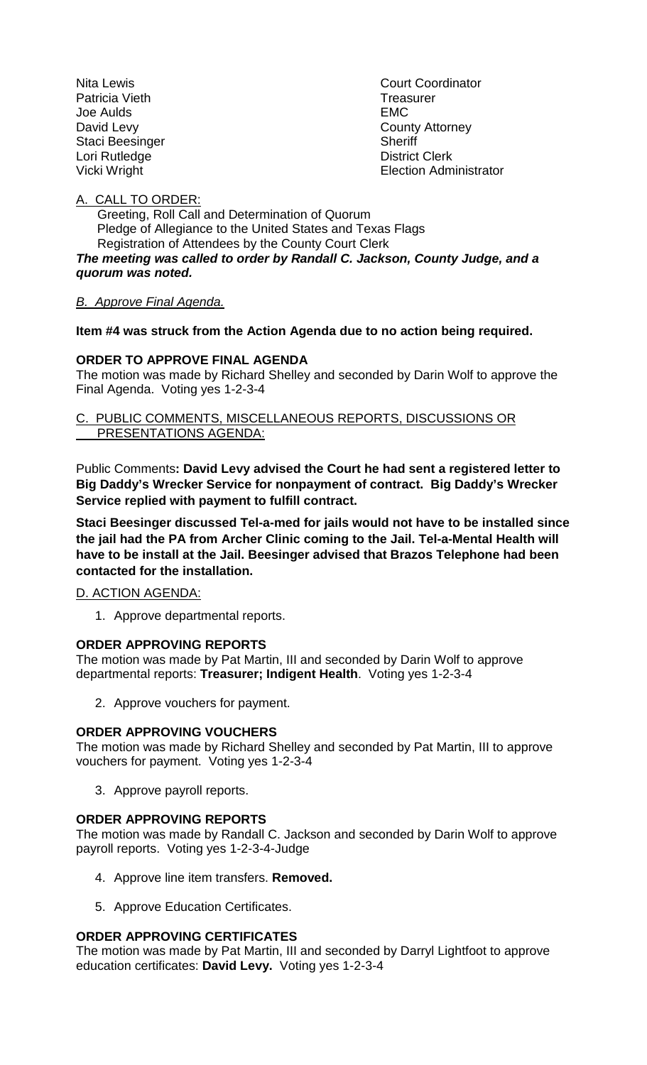Patricia Vieth **Treasurer** Joe Aulds EMC Staci Beesinger Sheriff Lori Rutledge **District Clerk** 

Nita Lewis **Nita Lewis** Court Coordinator David Levy **County Attorney** Vicki Wright **Election Administrator** 

## A. CALL TO ORDER:

 Greeting, Roll Call and Determination of Quorum Pledge of Allegiance to the United States and Texas Flags Registration of Attendees by the County Court Clerk *The meeting was called to order by Randall C. Jackson, County Judge, and a quorum was noted.*

# *B. Approve Final Agenda.*

# **Item #4 was struck from the Action Agenda due to no action being required.**

# **ORDER TO APPROVE FINAL AGENDA**

The motion was made by Richard Shelley and seconded by Darin Wolf to approve the Final Agenda. Voting yes 1-2-3-4

## C. PUBLIC COMMENTS, MISCELLANEOUS REPORTS, DISCUSSIONS OR PRESENTATIONS AGENDA:

Public Comments**: David Levy advised the Court he had sent a registered letter to Big Daddy's Wrecker Service for nonpayment of contract. Big Daddy's Wrecker Service replied with payment to fulfill contract.**

**Staci Beesinger discussed Tel-a-med for jails would not have to be installed since the jail had the PA from Archer Clinic coming to the Jail. Tel-a-Mental Health will have to be install at the Jail. Beesinger advised that Brazos Telephone had been contacted for the installation.**

### D. ACTION AGENDA:

1. Approve departmental reports.

# **ORDER APPROVING REPORTS**

The motion was made by Pat Martin, III and seconded by Darin Wolf to approve departmental reports: **Treasurer; Indigent Health**. Voting yes 1-2-3-4

2. Approve vouchers for payment.

### **ORDER APPROVING VOUCHERS**

The motion was made by Richard Shelley and seconded by Pat Martin, III to approve vouchers for payment. Voting yes 1-2-3-4

3. Approve payroll reports.

### **ORDER APPROVING REPORTS**

The motion was made by Randall C. Jackson and seconded by Darin Wolf to approve payroll reports. Voting yes 1-2-3-4-Judge

- 4. Approve line item transfers. **Removed.**
- 5. Approve Education Certificates.

# **ORDER APPROVING CERTIFICATES**

The motion was made by Pat Martin, III and seconded by Darryl Lightfoot to approve education certificates: **David Levy.** Voting yes 1-2-3-4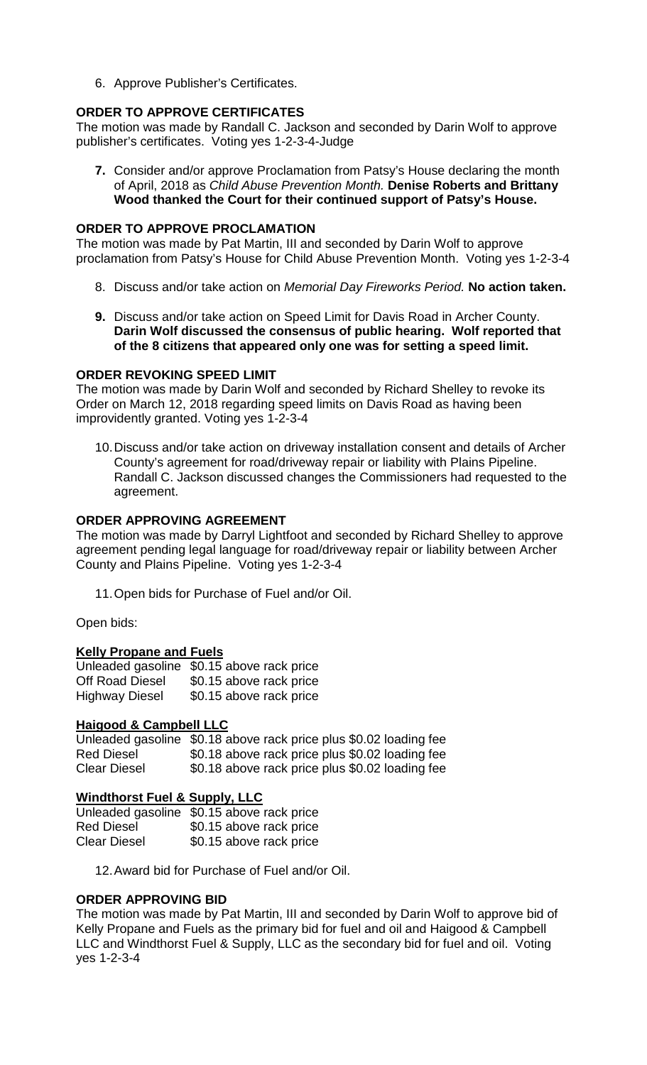6. Approve Publisher's Certificates.

## **ORDER TO APPROVE CERTIFICATES**

The motion was made by Randall C. Jackson and seconded by Darin Wolf to approve publisher's certificates. Voting yes 1-2-3-4-Judge

**7.** Consider and/or approve Proclamation from Patsy's House declaring the month of April, 2018 as *Child Abuse Prevention Month.* **Denise Roberts and Brittany Wood thanked the Court for their continued support of Patsy's House.**

## **ORDER TO APPROVE PROCLAMATION**

The motion was made by Pat Martin, III and seconded by Darin Wolf to approve proclamation from Patsy's House for Child Abuse Prevention Month. Voting yes 1-2-3-4

- 8. Discuss and/or take action on *Memorial Day Fireworks Period.* **No action taken.**
- **9.** Discuss and/or take action on Speed Limit for Davis Road in Archer County. **Darin Wolf discussed the consensus of public hearing. Wolf reported that of the 8 citizens that appeared only one was for setting a speed limit.**

### **ORDER REVOKING SPEED LIMIT**

The motion was made by Darin Wolf and seconded by Richard Shelley to revoke its Order on March 12, 2018 regarding speed limits on Davis Road as having been improvidently granted. Voting yes 1-2-3-4

10.Discuss and/or take action on driveway installation consent and details of Archer County's agreement for road/driveway repair or liability with Plains Pipeline. Randall C. Jackson discussed changes the Commissioners had requested to the agreement.

## **ORDER APPROVING AGREEMENT**

The motion was made by Darryl Lightfoot and seconded by Richard Shelley to approve agreement pending legal language for road/driveway repair or liability between Archer County and Plains Pipeline. Voting yes 1-2-3-4

11.Open bids for Purchase of Fuel and/or Oil.

Open bids:

# **Kelly Propane and Fuels**

|                        | Unleaded gasoline \$0.15 above rack price |
|------------------------|-------------------------------------------|
| <b>Off Road Diesel</b> | \$0.15 above rack price                   |
| <b>Highway Diesel</b>  | \$0.15 above rack price                   |

# **Haigood & Campbell LLC**

Unleaded gasoline \$0.18 above rack price plus \$0.02 loading fee Red Diesel  $$0.18$  above rack price plus \$0.02 loading fee<br>Clear Diesel  $$0.18$  above rack price plus \$0.02 loading fee \$0.18 above rack price plus \$0.02 loading fee

# **Windthorst Fuel & Supply, LLC**

|                     | Unleaded gasoline \$0.15 above rack price |
|---------------------|-------------------------------------------|
| <b>Red Diesel</b>   | \$0.15 above rack price                   |
| <b>Clear Diesel</b> | \$0.15 above rack price                   |

12.Award bid for Purchase of Fuel and/or Oil.

## **ORDER APPROVING BID**

The motion was made by Pat Martin, III and seconded by Darin Wolf to approve bid of Kelly Propane and Fuels as the primary bid for fuel and oil and Haigood & Campbell LLC and Windthorst Fuel & Supply, LLC as the secondary bid for fuel and oil. Voting yes 1-2-3-4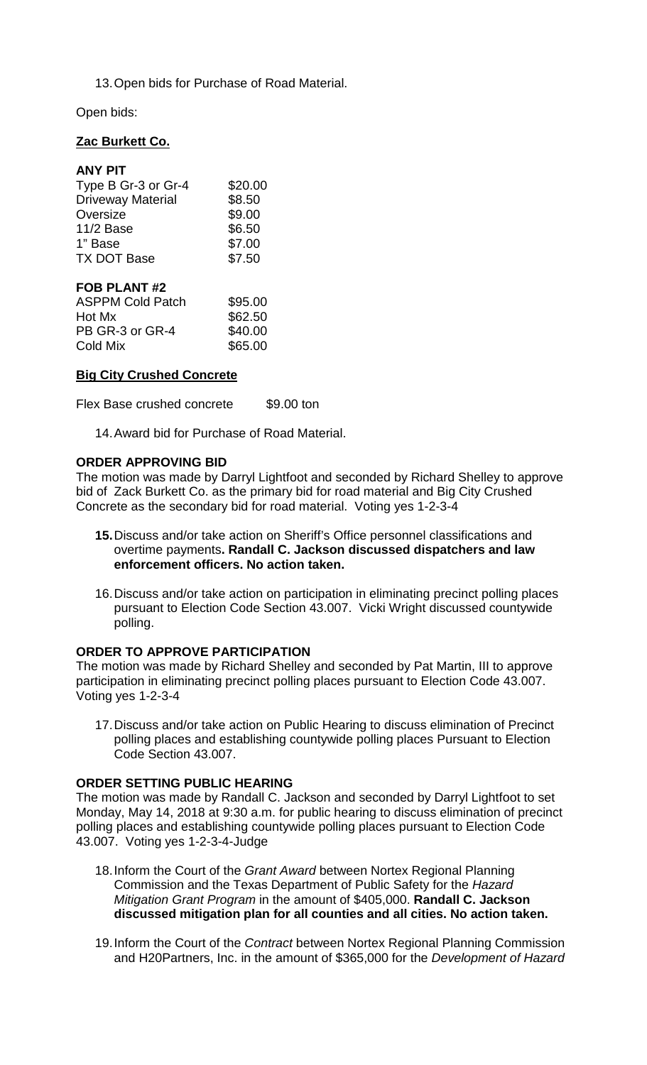13.Open bids for Purchase of Road Material.

Open bids:

## **Zac Burkett Co.**

| <b>ANY PIT</b>           |         |
|--------------------------|---------|
| Type B Gr-3 or Gr-4      | \$20.00 |
| <b>Driveway Material</b> | \$8.50  |
| Oversize                 | \$9.00  |
| 11/2 Base                | \$6.50  |
| 1" Base                  | \$7.00  |
| <b>TX DOT Base</b>       | \$7.50  |
| A NIT 49<br>ЕЛІ          |         |

| <b>FUD FLANI #4</b>     |         |
|-------------------------|---------|
| <b>ASPPM Cold Patch</b> | \$95.00 |
| Hot Mx                  | \$62.50 |
| PB GR-3 or GR-4         | \$40.00 |
| Cold Mix                | \$65.00 |
|                         |         |

## **Big City Crushed Concrete**

Flex Base crushed concrete \$9.00 ton

14.Award bid for Purchase of Road Material.

### **ORDER APPROVING BID**

The motion was made by Darryl Lightfoot and seconded by Richard Shelley to approve bid of Zack Burkett Co. as the primary bid for road material and Big City Crushed Concrete as the secondary bid for road material. Voting yes 1-2-3-4

- **15.**Discuss and/or take action on Sheriff's Office personnel classifications and overtime payments**. Randall C. Jackson discussed dispatchers and law enforcement officers. No action taken.**
- 16.Discuss and/or take action on participation in eliminating precinct polling places pursuant to Election Code Section 43.007. Vicki Wright discussed countywide polling.

### **ORDER TO APPROVE PARTICIPATION**

The motion was made by Richard Shelley and seconded by Pat Martin, III to approve participation in eliminating precinct polling places pursuant to Election Code 43.007. Voting yes 1-2-3-4

17.Discuss and/or take action on Public Hearing to discuss elimination of Precinct polling places and establishing countywide polling places Pursuant to Election Code Section 43.007.

### **ORDER SETTING PUBLIC HEARING**

The motion was made by Randall C. Jackson and seconded by Darryl Lightfoot to set Monday, May 14, 2018 at 9:30 a.m. for public hearing to discuss elimination of precinct polling places and establishing countywide polling places pursuant to Election Code 43.007. Voting yes 1-2-3-4-Judge

- 18.Inform the Court of the *Grant Award* between Nortex Regional Planning Commission and the Texas Department of Public Safety for the *Hazard Mitigation Grant Program* in the amount of \$405,000. **Randall C. Jackson discussed mitigation plan for all counties and all cities. No action taken.**
- 19.Inform the Court of the *Contract* between Nortex Regional Planning Commission and H20Partners, Inc. in the amount of \$365,000 for the *Development of Hazard*